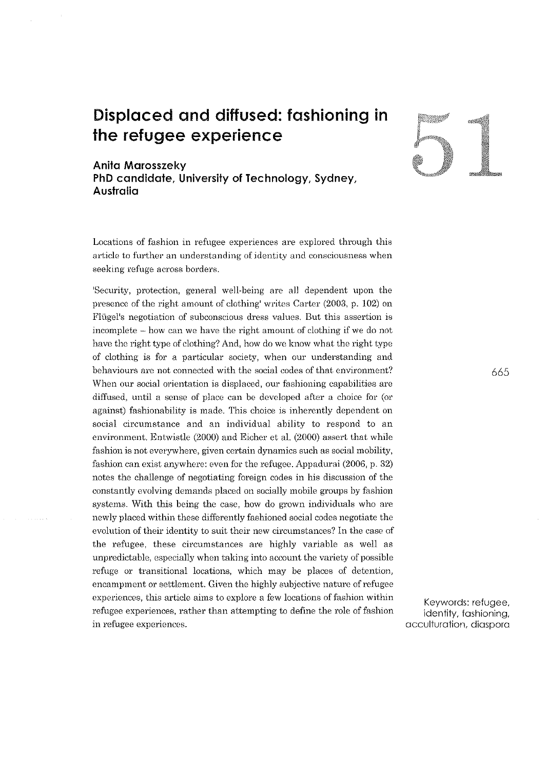# **Displaced and diffused: fashioning in the refugee experience**

# **Anita Marosszeky**

**PhD candidate, University of Technology, Sydney, Australia** 

Locations of fashion in refugee experiences are explored through this **article to further an understanding of identity and consciousness when**  seeking refuge across borders.

'Security, protection, general well-being are all dependent upon the presence of the right amount of clothing' writes Carter (2003, p. 102) on **Fli'tgel<sup>1</sup> s negutiation of subconscious dress values. But this assertion is**  incomplete – how can we have the right amount of clothing if we do not have *the* right type of clothing? And, how do we know what the right type of clothing is for a particular society, when our understanding and behaviours are not connected with the social codes of that environment? When our social orientation is displaced, our fashioning capabilities are diffused, until a sense of place can be developed after a choice for (or against) fashionability is made. This choice is inherently dependent on social circumstance and an individual ability to respond to an environment. Entwistle (2000) and Eicher et al. (2000) assert that while **fashion is not everywhere, given certain dynamics such as social mobility,**  fashion can exist anywhere: even for the refugee. Appadurai (2006, p. 32) notes the challenge of negotiating foreign codes in his discussion of the constantly evolving demands placed on socially mobile groups by fashion systems. With this being the case, how do grown individuals who are newly placed within these differently fashioned social codes negotiate the evolution of their identity to suit their new circumstances? In the case of the refugee, these circumstances are highly variable as well as unpredictable, especially when taking into account the variety of possible **refuge or transitional locations, which may be places of detention,**  encampment or settlement. Given the highly subjective nature of refugee experiences, this article aims to explore a few locations of fashion within refugee experiences, rather than attempting to define the role of fashion **in refugee experiences.** 



665

Keywords: refugee, identity, fashioning, acculturation, diaspora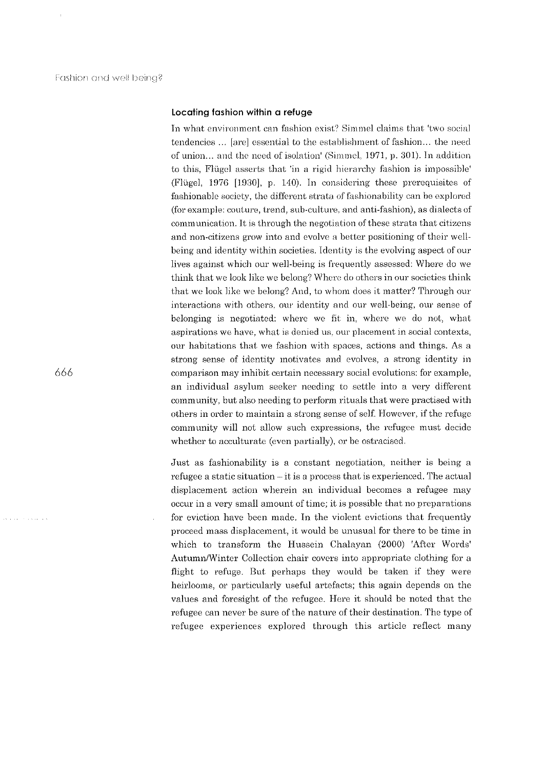# Locating fashion within a refuge

In what environment can fashion exist? Simmel claims that 'two social tendencies ... [are] essential to the establishment of fashion... the need of union... and the need of isolation' (Simmel, 1971, p. 301). In addition to this, Flügel asserts that 'in a rigid hierarchy fashion is impossible' (Flügel,  $1976$  [1930], p. 140). In considering these prerequisites of fashionable society, the different strata of fashionability can be explored (for example: couture, trend, sub-culture. and anti-fashion), as dialects of communication. It is through the negotiation of these strata that citizens and non-citizens grow into and evolve a better positioning of their wellbeing and identity within societies. Identity is the evolving aspect of our lives against which our well-being is frequently assessed: Where do we think that we look like we belong? Where do others in our societies think that we look like we belong? And, to whom does it matter? Through our interactions with others, our identity and our well-being, our sense of belonging is negotiated: where we fit in, where we do not, what aspirations we have, what is denied us, our placement in social contexts, our habitations that we fashion with spaces, actions and things. As a strong sense of identity motivates and evolves, a strong identity in comparison may inhibit certain necessary social evolutions: for example, an individual asylum seeker needing to settle into a very different community, but also needing to perform rituals that were practised with others in order to maintain a strong sense of self. However, if the refuge community will not allow such expressions, the refugee must decide whether to acculturate (even partially), or be ostracised.

Just as fashionability is a constant negotiation, neither is being a refugee a static situation- it is a process that is experienced. The actual displacement action wherein an individual becomes a refugee may occur in a very small amount of time; it is possible that no preparations for eviction have been made. In the violent evictions that frequently proceed mass displacement, it would be unusual for there to be time in which to transform the Hussein Chalayan (2000) 'After Words' Autumn/Winter Collection chair covers into appropriate clothing for a flight to refuge. But perhaps they would be taken if they were heirlooms, or particularly useful artefacts; this again depends on the values and foresight of the refugee. Here it should be noted that the refugee can never be sure of the nature of their destination. The type of refugee experiences explored through this article reflect many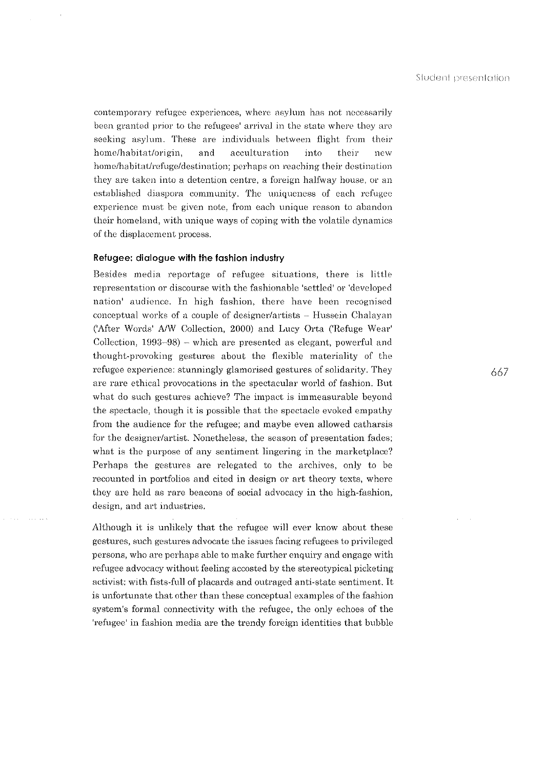contemporary refugee experiences, where asylum has not necessarily been granted prior to the refugees' arrival in the state where they are seeking asylum. These are individuals between flight from their home/habitat/origin, and acculturation into their new home/habitat/refuge/destination; perhaps on reaching their destination they are taken into a detention centre, a foreign halfway house, or an established diaspora community. The uniqueness of each refugee experience must *be* given note, from each unique reason to abandon their homeland, with unique ways of coping with the volatile dynamics of the displacement process.

# Refugee: dialogue with the fashion industry

Besides media reportage of refugee situations, there is little representation or discourse with the fashionable 'settled' or 'developed nation' audience. In high fashion, there have been recognised conceptual works of a couple of designer/artists  $-$  Hussein Chalayan ('After Words' A/W Collection, 2000) and Lucy Orta ('Refuge Wear' Collection, 1993-98) - which are presented as elegant, powerful and thought-provoking gestures about the flexible materiality of the refugee experience: stunningly glamorised gestures of solidarity. They are rare ethical provocations in the spectacular world of fashion. But what do such gestures achieve? The impact is immeasurable beyond the spectacle, though it is possible that the spectacle evoked empathy from the audience for the refugee; and maybe even allowed catharsis for the designer/artist. Nonetheless, the season of presentation fades; what is the purpose of any sentiment lingering in the marketplace? Perhaps the gestures are relegated to the archives, only to be recounted in portfolios and cited in design or art theory texts, where they are held as rare beacons of social advocacy in the high-fashion, design, and art industries.

Although it is unlikely that the refugee will ever know about these gestures, such gestures advocate the issues facing refugees to privileged persons, who are perhaps able to make further enquiry and engage with refugee advocacy without feeling accosted by the stereotypical picketing· activist: with fists-full of placards and outraged anti-state sentiment. It is unfortunate that other than these conceptual examples of the fashion system's formal connectivity with the refugee, the only echoes of the 'refugee' in fashion media are the trendy foreign identities that bubble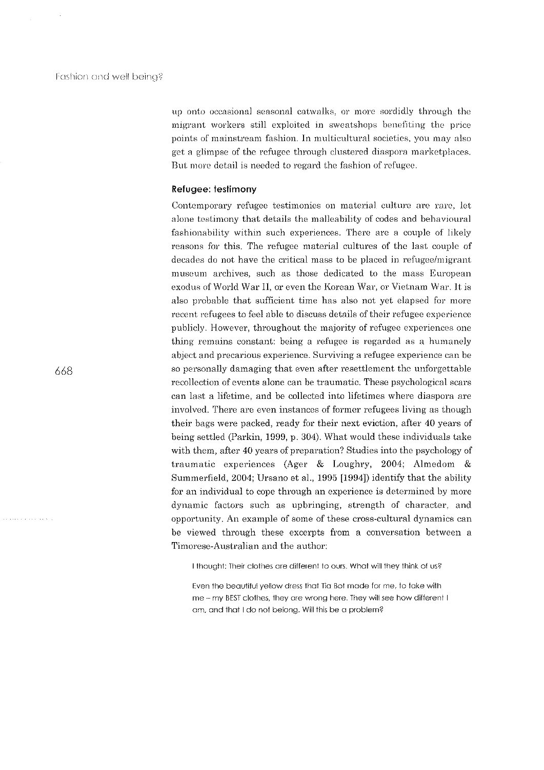up onto occasional seasonal catwalks, or more sordidly through the migrant workers still exploited in sweatshops benefiting the price points of mainstream fashion. ln multicultural societies, you may also get a glimpse of the refugee through clustered diaspora marketplaces. But more detail is needed to regard the fashion of refugee.

#### Refugee: testimony

Contemporary refugee testimonies on material culture are rare, let alone testimony that detalls the malleability of codes and behavioural fashionability within such experiences. There are a couple of likely reasons for this. The refugee material cultures of the last couple of decades do not have the critical mass to be placed in refugee/migrant museum archives, such as those dedicated to the mass European exodus of World War ll, or even the Korean War, or Vietnam War. Jt is also probable that sufficient time has also not yet elapsed for more recent refugees to feel able to discuss details of their refugee experience publicly, However, throughout the majority of refugee experiences one thing remains constant: being a refugee is regarded as a humanely abject and precarious experience. Surviving a refugee experience can be so personally damaging that even after resettlement the unforgettable recollection of events alone can be traumatic. These psychological scars can last a lifetime, and be collected into lifetimes where diaspora are involved. There are even instances of former refugees living as though their bags were packed, ready for their next eviction, after 40 years of being settled (Parkin, 1999, p, 304), What would these individuals take with them, after 40 years of preparation? Studies into the psychology of traumatic experiences (Ager & Loughry, 2004; Almedom & Summerfield, 2004: Ursano et aL, 1995 [1994]) identify that the ability for an individual to cope through an experience is determined by more dynamic factors such as upbringing, strength of character, and opportunity, An example of some of these cross-cultural dynamics can be viewed through these excerpts from a conversation between a Timorese-Australian and the author:

I thought: Their clothes are different to ours. What will they think of us?

Even the beautiful yellow dress that Tia Bot made for me, to take with me -- my BEST clothes, they are wrong here. They will see how different I am, and that I do not belong. Will this be a problem?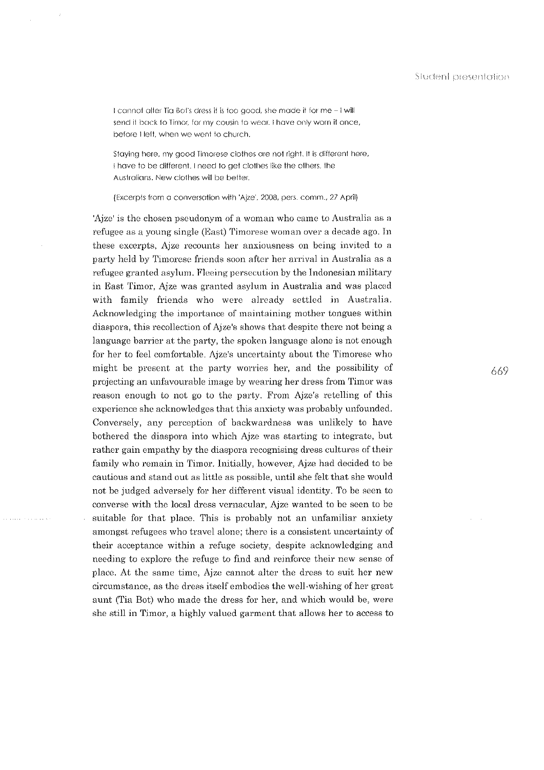I cannot alter Tia Bot's dress it is too good, she made it for me -I will send it back to Timor, for my cousin to wear. I have only worn it once, before I left, when we went to church.

Staying here, my good Timorese clothes are not right. It is different here, I have to be different. I need to get clothes like the others, the Australians. New clothes will be better.

(Excerpts from a conversation with 'Ajze'. 2008, pers. cornm., 27 April)

'Ajzc' is the chosen pseudonym of a woman who came to Australia as a refugee as a young single (East) Timorese woman over a decade ago. In these excerpts, Ajze recounts her anxiousness on being invited to a party held by Timorese friends soon after her arrival in Australia as a refugee granted asylum. Fleeing persecution by the Indonesian military in East Timor, Ajze was granted asylum in Australia and was placed with family friends who were already settled in Australia. Acknowledging the importance of maintaining mother tongues within diaspora, this recollection of Ajze's shows that despite there not being a language barrier at the party, the spoken language alone is not enough for her to feel comfortable. Ajze's uncertainty about the Timorese who might be present at the party worries her, and the possibility of projecting an unfavourable image by wearing her dress from Timor was reason enough to not go to the party. From Ajze's retelling of this experience she acknowledges that this anxiety was probably unfounded. Conversely, any perception of backwardness was unlikely to have bothered the diaspora into which Ajze was starting to integrate, but rather gain empathy by the diaspora recognising dress cultures of their family who remain in Timor. Initially, however, Ajze had decided to be cautious and stand out as little as possible, until she felt that she would not be judged adversely for her different visual identity. To be seen to converse with the local dress vernacular, Ajze wanted to be seen to be suitable for that place. This is probably not an unfamiliar anxiety amongst refugees who travel alone; there is a consistent uncertainty of their acceptanee within a refuge society, despite acknowledging and needing to explore the refuge to find and reinforce their new sense of place. At the same time, Ajze cannot alter the dress to suit her new circumstance, as the dress itself embodies the well-wishing of her great aunt (Tia Bot) who made the dress for her, and which would be, were she still in Timor, a highly valued garment that allows her to access to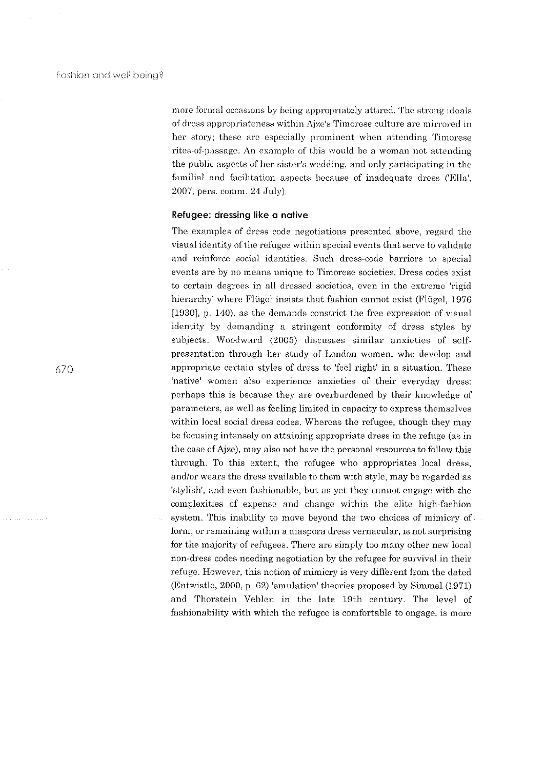more formal occasions by being appropriately attired. The strong ideals of dress appropriateness within Aize's Timorese culture are mirrored in her story; these are especially prominent when attending Timorese rites-of-passage. An example of this would be a woman not attending the public aspects of her sister's wedding, and only participating in the familial and facilitation aspects because of inadequate dress ('Ella',  $2007$ , pers. comm.  $24$  July).

# Refugee: dressing like a native

The examples of dress code negotiations presented above, regard the visual identity of the refugee within special events that serve to validate and reinforce social identities. Such dress-code barriers to special events are by no means unique to Timorese societies. Dress codes exist to certain degrees in all dressed societies, even in the extreme 'rigid hierarchy' where Flügel insists that fashion cannot exist (Flügel, 1976) [1930], p. 140), as the demands constrict the free expression of visual identity by demanding a stringent conformity of dress styles by subjects. Woodward (2005) discusses similar anxieties of selfpresentation through her study of London women, who develop and appropriate certain styles of dress to 'feel right' in a situation. These 'native' women also experience anxieties of their everyday dress: perhaps this is because they are overburdened by their knowledge of parameters, as well as feeling limited in capacity to express themselves within local social dress codes. Whereas the refugee, though they may be focusing intensely on attaining appropriate dress in the refuge (as in the case of Ajze), may also not have the personal resources to follow this through. To this extent, the refugee who appropriates local dress, and/or wears the dress available to them with style, may be regarded as 'stylish', and even fashionable, but as yet they cannot engage with the complexities of expense and change within the elite high-fashion system. This inability to move beyond the two choices of mimicry of form, or remaining within a diaspora dress vernacular, is not surprising for the majority of refugees. There are simply too many other new local non-dress codes needing negotiation by the refugee for survival in their refuge. However, this notion of mimicry is very different from the dated (Entwistle, 2000, p. 62) 'emulation' theories proposed by Simmel (1971) and Thorstein Veblen in the late 19th century. The level of fashionability with which the refugee is comfortable to engage, is more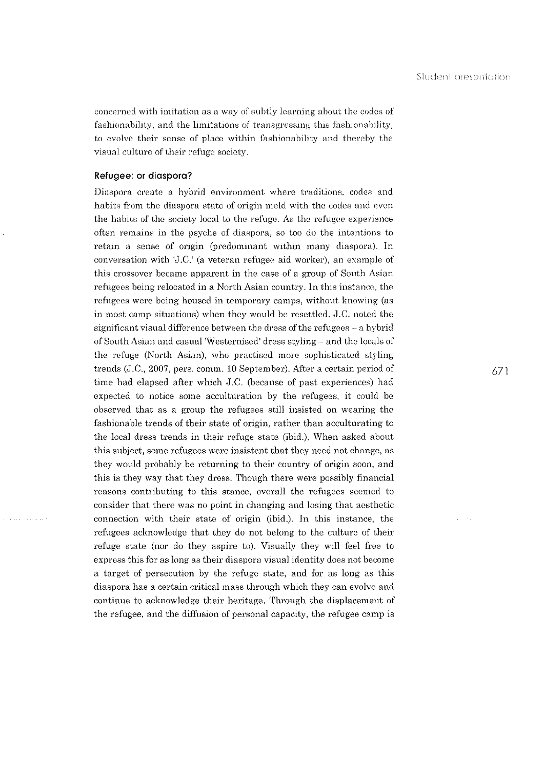concerned with imitation as a way of subtly learning about the codes of fashionability, and the limitations of transgressing this fashionability, to evolve their sense of place within fashionability and thereby the visual culture of their refuge society.

# Refugee: or diaspora?

Diaspora create a hybrid environment where traditions, codes and habits from the diaspora state of origin meld with the codes and even the habits of the society local to the refuge. As the refugee experience often remains in the psyche of diaspora, so too do the intentions to retain a sense of origin (predominant within many diaspora). In conversation with 'J.C.' (a veteran refugee aid worker), an example of this crossover became apparent in the case of a group of South Asian refugees being relocated in a North Asian country. In this instance, the refugees were being housed in temporary camps, without knowing (as in most camp situations) when they would be resettled.  $J.C.$  noted the significant visual difference between the dress of the refugees- a hybrid of South Asian and casual 'Westernised' dress styling·- and the locals of the refuge (North Asian), who practised more sophisticated styling trends (J.C., 2007, pers. comm. 10 September). After a certain period of time had elapsed after which J.C. (because of past experiences) had expected to notice some acculturation by the refugees, it could be observed that as a group the refugees still insisted on wearing the fashionable trends of their state of origin, rather than acculturating to the local dress trends in their refuge state (ibid.). When asked about this subject, some refugees were insistent that they need not change, as they would probably be returning to their country of origin soon, and this is they way that they dress. Though there were possibly financial reasons contributing to this stance, overall the refugees seemed to consider that there was no point in changing and losing that aesthetic connection with their state of origin (ibid.). In this instance, the refugees acknowledge that they do not belong to the culture of their refuge state (nor do they aspire to). Visually they will feel free to express this for as long as their diaspora visual identity does not become a target of persecution by the refuge state, and for as long as this diaspora has a certain critical mass through which they can evolve and continue to acknowledge their heritage. Through the displacement of the refugee, and the diffusion of personal capacity, the refugee camp is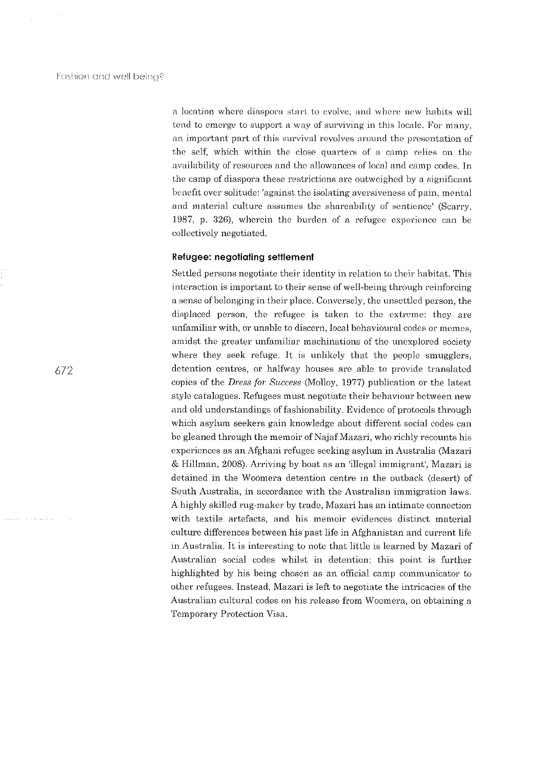a location where diaspora start to evolve, and where new habits will tend to emerge to support a way of surviving in this locale. For many, an important part of this survival revolves around the presentation of the self, which within the close quarters of a camp relies on the availability of resources and the allowances of local and camp codes. In the camp of diaspora these restrictions are outweighed by a significant benefit over solitude: 'against the isolating aversiveness of pain, mental and material culture assumes the shareability of sentience' (Scarry, 1987, p. 326), wherein the burden of a refugee experience can be collectively negotiated.

#### Refugee: negotiating settlement

Settled persons negotiate their identity in relation to their habitat. This interaction is important to their sense of well-being through reinforcing a sense of belonging in their place. Conversely, the unsettled person, the displaced person, the refugee is taken to the extreme: they are unfamiliar with, or unable to discern, local behavioural codes or memes, amidst the greater unfamiliar machinations of the unexplored society where they seek refuge. It is unlikely that the people smugglers, detention centres, or halfway houses are able to provide translated copies of the *Dress for Success* (Molloy, 1977) publication or the latest style catalogues. Refugees must negotiate their behaviour between new and old understandings of fashionability. Evidence of protocols through which asylum seekers gain knowledge about different social codes can be gleaned through the memoir of Najaf Mazari, who richly recounts his experiences as an Afghani refugee seeking asylum in Australia (Mazari & Hillman, 2008). Arriving by boat as an 'illegal immigrant', Mazari is detained in the Woomera detention centre in the outback (desert) of South Australia, in accordance with the Australian immigration laws. A highly skilled rug-maker by trade, Mazari has an intimate connection with textile artefacts, and his memoir evidences distinct material culture differences between his past life in Afghanistan and current life in Australia. It is interesting to note that little is learned by Mazari of Australian social codes whilst in detention; this point is further highlighted by his being chosen as an official camp communicator to other refugees. Instead, Mazari is left to negotiate the intricacies of the Australian cultural codes on his release from Woomera, on obtaining a Temporary Protection Visa.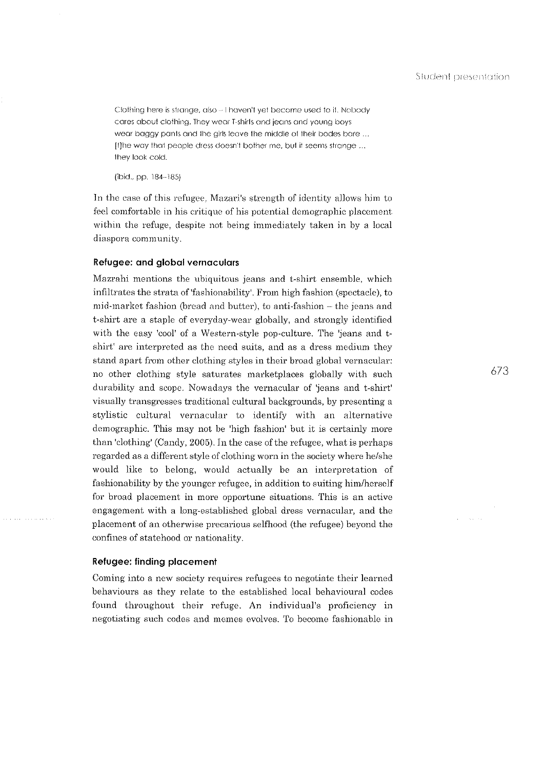Clothing here is strange, also - I haven't yet become used to it. Nobody cores oboul cloilling. They weor T-shirts and jeans and young boys wear baggy pants and the girls leave the middle of their bodes bare ... [t]he way that people dress doesn't bother me, but it seems strange ... they look cold.

(ibid., pp. 184··185)

In the case of this refugee, Mazari's strength of identity allows him to feel comfortable in his critique of his potential demographic placement within the refuge, despite not being immediately taken in by a local diaspora community.

#### Refugee: and global vernaculars

Mazrahi mentions the ubiquitous jeans and t-shirt ensemble, which infiltrates the strata of'fashionability'. From high fashion (spectacle), to mid-market fashion (bread and butter), to anti-fashion- the jeans and t-shirt are a staple of everyday-wear globally, and strongly identified with the easy 'cool' of a Western-style pop-culture. The 'jeans and tshirt' are interpreted as the need suits, and as a dress medium they stand apart from other clothing styles in their broad global vernacular: no other clothing· style saturates marketplaces globally with such durability and scope. Nowadays the vernacular of 'jeans and t-shirt' visually transgresses traditional cultural backgrounds, by presenting a stylistic cultural vernacular to identify with an alternative demographic. This may not be 'high fashion' but it is certainly more than 'clothing' (Candy, 2005). In the case of the refugee, what is perhaps regarded as a different style of clothing worn in the society where he/she would like to belong, would actually be an interpretation of fashionability by the younger refugee, in addition to suiting him/herself for broad placement in more opportune situations. This is an active engagement with a long-established global dress vernacular, and the placement of an otherwise precarious selfhood (the refugee) beyond the confines of statehood or nationality.

#### Refugee: finding placement

Coming into a new society requires refugees to negotiate their learned behaviours as they relate to the established local behavioural codes found throughout their refuge. An individual's proficiency in negotiating such codes and memes evolves. To become fashionable in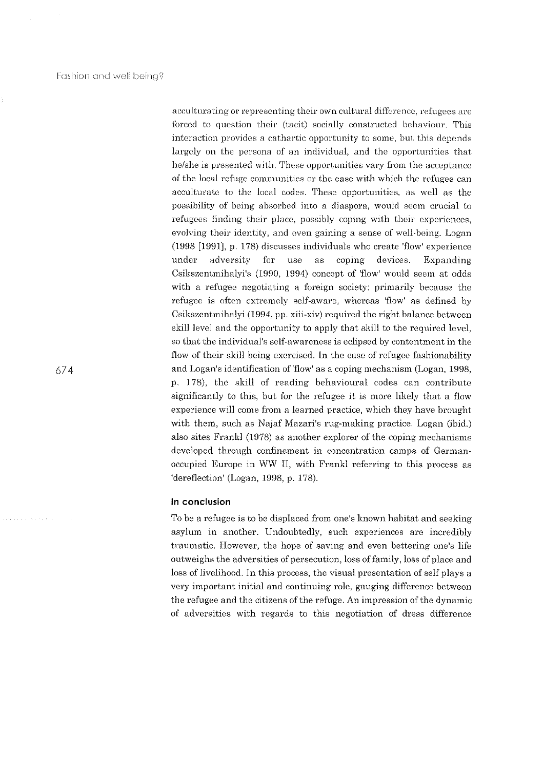acculturating or representing their own cultural difference, refugees are forced to question their (tacit) socially constructed behaviour. This interaction provides a cathartic opportunity to some, but this depends largely on the persona of an individual, and the opportunities that he/she is presented with. These opportunities vary from the acceptance of the local refuge communities or the ease with which the refugee can acculturate to the local codes. These opportunities, as well as the possibility of being absorbed into a diaspora, would seem crucial to refugees finding their place, possibly coping with their experiences, evolving their identity, and even gaining a sense of well-being. Logan (1998 [1991], p. 178) discusses individuals who create 'flow' experience under adversity for use as coping- devices. Expanding Csikszentmihalyi's (1990, 1994) concept of 'flow' would seem at odds with a refugee negotiating a foreign society: primarily because the refugee is often extremely self-aware, whereas 'flow' as defined by Csikszentmihalyi (1994, pp. xiii-xiv) required the right balance between skill level and the opportunity to apply that skill to the required level, so that the individual's self-awareness is eclipsed by contentment in the flow of their skill being exercised. In the case of refugee fashionability and Logan's identification of 'flow' as a coping mechanism (Logan, 1998, p. 178), the skill of reading behavioural codes can contribute significantly to this, but for the refugee it is more likely that a flow experience will come from a learned practice, which they have brought with them, such as Najaf Mazari's rug-making practice. Logan (ibid.) also sites Frankl (1978) as another explorer of the coping mechanisms developed through confinement in concentration camps of Germanoccupied Europe in WW II, with Frankl referring to this process as 'dereflection' (Logan, 1998, p. 178).

# ln conclusion

To be a refugee is to be displaced from one's known habitat and seeking· asylum in another. Undoubtedly, such experiences are incredibly traumatic. However, the hope of saving and even bettering one's life outweighs the adversities of persecution, loss of family, loss of place and loss of livelihood. In this process, the visual presentation of self plays a very important initial and continuing role, gauging difference between the refugee and the citizens of the refuge. An impression of the dynamic of adversities with regards to this negotiation of dress difference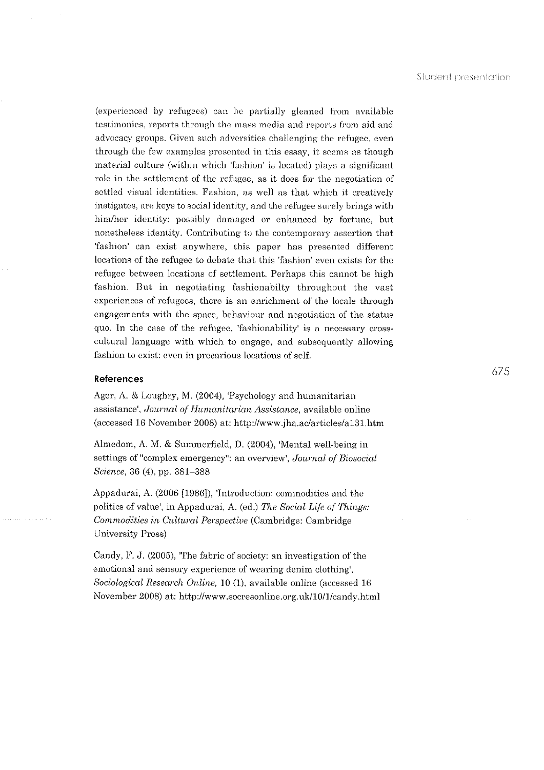(experienced by refugees) can be partially gleaned from available testimonies, reports through the mass media and reports from aid and advocacy groups. Given such adversities challenging the refugee, even through the few examples presented in this essay, it seems as though material culture (within which 'fashion' is located) plays a significant role in the settlement of the refugee, as it does for the negotiation of settled visual identities. Fashion, as well as that which it creatively instigates, are keys to social identity, and the refugee surely brings with him/her identity: possibly damaged or enhanced by fortune, but nonetheless identity. Contributing to the contemporary assertion that 'fashion' can exist anywhere, this paper has presented different locations of the refugee to debate that this 'fashion' even exists for the refugee between locations of settlement. Perhaps this cannot be high fashion. But in negotiating fashionabilty throughout the vast experiences of refugees, there is an enrichment of the locale through engagements with the space, behaviour and negotiation of the status quo. In the case of the refugee, 'fashionability' is a necessary crosscultural language with which to engage, and subsequently allowing fashion to exist: even in precarious locations of self.

# References

Ager, A. & Loughry, M. (2004), 'Psychology and humanitarian assistance', *Journal of Humanitarian Assistance*, available online (accessed 16 November 2008) at: http://www.jha.ac/articles/a131.htm

Almedom, A.M. & Summerfield, D. (2004), 'Mental well-being in settings of "complex emergency": an overview', *Journal of Biosocial Science*, 36 (4), pp. 381-388

Appadurai, A. (2006 [1986]), 'Introduction: commodities and the politics of value', in Appadurai, A. (ed.) *The Social Life of Things: Commodities in Cultural Perspective* (Cambridge: Cambridge) University Press)

Candy, F. J.  $(2005)$ , The fabric of society: an investigation of the emotional and sensory experience of wearing denim clothing', *Sociological Research Online,* 10 (1), available online (accessed 16 November 2008) at: http://www.socresonline.org.uk/l0/1/candy.html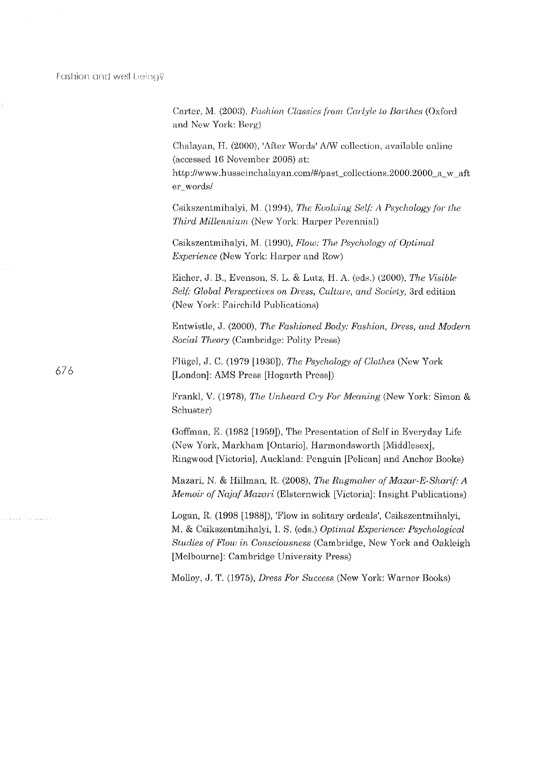Fashion and well being?

 $\label{eq:2.1} \frac{1}{\sqrt{2\pi}}\int_{0}^{\infty}\frac{1}{\sqrt{2\pi}}\left(\frac{1}{\sqrt{2\pi}}\right)^{2}d\theta.$ 

|     | Carter, M. (2003), Fashion Classics from Carlyle to Barthes (Oxford<br>and New York: Berg)                                                                                                                                                                        |
|-----|-------------------------------------------------------------------------------------------------------------------------------------------------------------------------------------------------------------------------------------------------------------------|
|     | Chalayan, H. (2000), 'After Words' A/W collection, available online<br>(accessed 16 November 2008) at:<br>http://www.husseinchalayan.com/#/past_collections.2000.2000_a_w_aft<br>er_words/                                                                        |
|     | Csikszentmihalyi, M. (1994), The Evolving Self: A Psychology for the<br>Third Millennium (New York: Harper Perennial)                                                                                                                                             |
|     | Csikszentmihalyi, M. (1990), Flow: The Psychology of Optimal<br>Experience (New York: Harper and Row)                                                                                                                                                             |
|     | Eicher, J. B., Evenson, S. L. & Lutz, H. A. (eds.) (2000), The Visible<br>Self: Global Perspectives on Dress, Culture, and Society, 3rd edition<br>(New York: Fairchild Publications)                                                                             |
|     | Entwistle, J. (2000), The Fashioned Body: Fashion, Dress, and Modern<br>Social Theory (Cambridge: Polity Press)                                                                                                                                                   |
| 676 | Flügel, J. C. (1979 [1930]), The Psychology of Clothes (New York<br>[London]: AMS Press [Hogarth Press])                                                                                                                                                          |
|     | Frankl, V. (1978), The Unheard Cry For Meaning (New York: Simon &<br>Schuster)                                                                                                                                                                                    |
|     | Goffman, E. (1982 [1959]), The Presentation of Self in Everyday Life<br>(New York, Markham [Ontario], Harmondsworth [Middlesex],<br>Ringwood [Victoria], Auckland: Penguin [Pelican] and Anchor Books)                                                            |
|     | Mazari, N. & Hillman, R. (2008), The Rugmaker of Mazar-E-Sharif: A<br>Memoir of Najaf Mazari (Elsternwick [Victoria]: Insight Publications)                                                                                                                       |
| ç,  | Logan, R. (1998 [1988]), 'Flow in solitary ordeals', Csikszentmihalyi,<br>M. & Csikszentmihalyi, I. S. (eds.) Optimal Experience: Psychological<br>Studies of Flow in Consciousness (Cambridge, New York and Oakleigh<br>[Melbourne]: Cambridge University Press) |
|     | Molloy, J. T. (1975), Dress For Success (New York: Warner Books)                                                                                                                                                                                                  |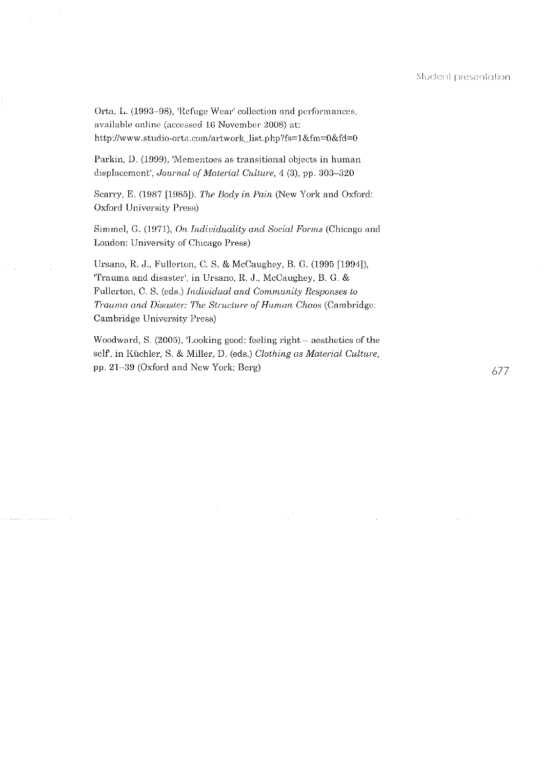Orta, L. (1993–98), 'Refuge Wear' collection and performances, available online (accessed 16 November 2008) at: http://www.studio-orta.com/artwork\_list.php?fs=1&fm=0&fd=0

Parkin, D. (1999), 'Mementoes as transitional objects in human displacement', *Journal of Material Culture*, 4 (3), pp. 303-320

Scarry, E. (1987 [1985]), *The Body in Pain* (New York and Oxford: Oxford University Press)

Simmcl, G. (1971), *On Indiuidnality and Soda/ Forms* (Chicago and London: University of Chicago Press)

Ursano, R. J., Fullerton, C. S. & McCaughey, B. G. (1995 [1994]), 'Trauma and disaster', in Ursano, R. J., McCaughey, B. G. & Fullerton, C. S. (eds.) *Individual and Community Responses to Trauma and Disaster: The Structure of Human Chaos (Cambridge:* Cambridge University Press)

Woodward, S. (2005), 'Looking good: feeling right - aesthetics of the self, in Küchler, S. & Miller, D. (eds.) *Clothing as Material Culture*, pp. 21–39 (Oxford and New York: Berg)  $677$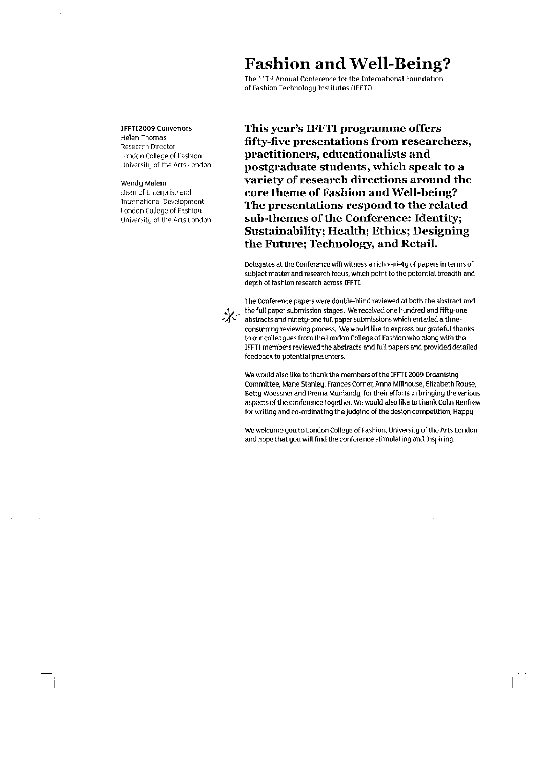# Fashion and Well-Being?

The 11TH Annual Conference for the International Foundation of Fashion Technology Institutes (IFFTI)

IFFTI2009 Convenors Helen Thomas Research Director London College of Fashion Universit\J of the Arts London

Wendu Malem Dean of Enterprise and International Development London College of Fashion University of the Arts London This year's IFFTI programme offers fifty-five presentations from researchers, practitioners, educationalists and postgraduate students, which speak to a variety of research directions around the core theme of Fashion and Well-being? The presentations respond to the related sub-themes of the Conference: Identity; Sustainability; Health; Ethics; Designing the Future; Technology, and Retail.

Delegates at the Conference will witness a rich variety of papers in terms of subject matter and research focus, which point to the potential breadth and depth of fashion research across IFFTI.

 $\chi$ 

The Conference papers were double-blind reviewed at both the abstract and the full paper submission stages. We received one hundred and fifty-one abstracts and ninety-one full paper submissions which entailed a timeconsuming reviewing process. We would like to express our grateful thanks to our colleagues from the london College of Fashion who along with the IFFTI members reviewed the abstracts and full papers and provided detailed feedback to potential presenters.

We would also like to thank the members of the IFFTI 2009 Organising Committee, Marie Stanley, Frances Corner, Anna Millhouse, Elizabeth Rouse, Betty Woessner and Prema Muniandy, for their efforts in bringing the various aspects of the conference together. We would also like to thank Colin Renfrew for writing and co-ordinating the judging of the design competition, Happy!

We welcome you to london College of Fashion, University of the Arts london and hope that you will find the conference stimulating and inspiring.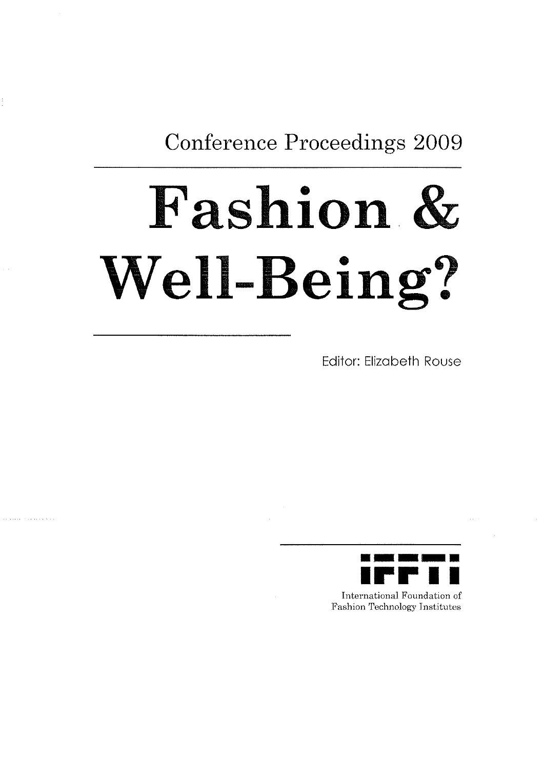**Conference Proceedings 2009** 

# **Fashion& Well-Being?**

Editor: Elizabeth Rouse



International Foundation of Fashion Technology Institutes